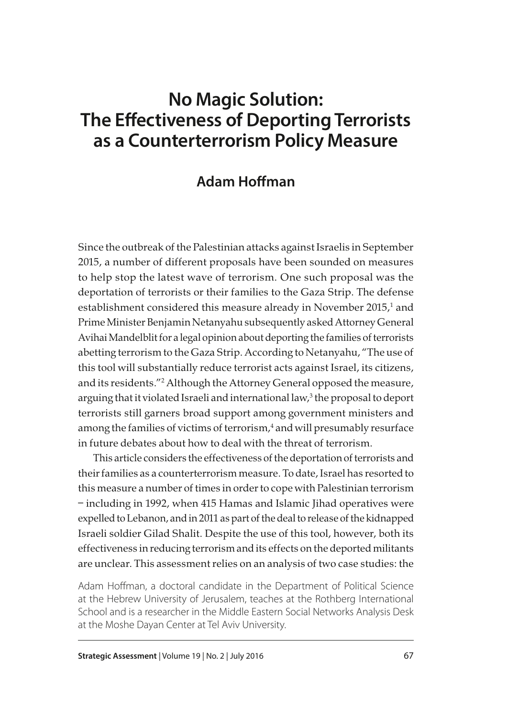# **No Magic Solution: The Effectiveness of Deporting Terrorists as a Counterterrorism Policy Measure**

## **Adam Hoffman**

Since the outbreak of the Palestinian attacks against Israelis in September 2015, a number of different proposals have been sounded on measures to help stop the latest wave of terrorism. One such proposal was the deportation of terrorists or their families to the Gaza Strip. The defense establishment considered this measure already in November 2015, $^1$  and Prime Minister Benjamin Netanyahu subsequently asked Attorney General Avihai Mandelblit for a legal opinion about deporting the families of terrorists abetting terrorism to the Gaza Strip. According to Netanyahu, "The use of this tool will substantially reduce terrorist acts against Israel, its citizens, and its residents."2 Although the Attorney General opposed the measure, arguing that it violated Israeli and international law,<sup>3</sup> the proposal to deport terrorists still garners broad support among government ministers and among the families of victims of terrorism, $^4$  and will presumably resurface in future debates about how to deal with the threat of terrorism.

This article considers the effectiveness of the deportation of terrorists and their families as a counterterrorism measure. To date, Israel has resorted to this measure a number of times in order to cope with Palestinian terrorism – including in 1992, when 415 Hamas and Islamic Jihad operatives were expelled to Lebanon, and in 2011 as part of the deal to release of the kidnapped Israeli soldier Gilad Shalit. Despite the use of this tool, however, both its effectiveness in reducing terrorism and its effects on the deported militants are unclear. This assessment relies on an analysis of two case studies: the

Adam Hoffman, a doctoral candidate in the Department of Political Science at the Hebrew University of Jerusalem, teaches at the Rothberg International School and is a researcher in the Middle Eastern Social Networks Analysis Desk at the Moshe Dayan Center at Tel Aviv University.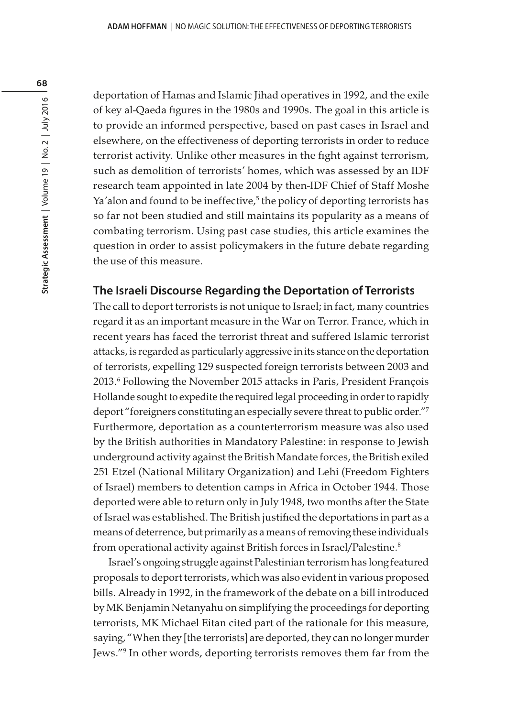deportation of Hamas and Islamic Jihad operatives in 1992, and the exile of key al-Qaeda figures in the 1980s and 1990s. The goal in this article is to provide an informed perspective, based on past cases in Israel and elsewhere, on the effectiveness of deporting terrorists in order to reduce terrorist activity. Unlike other measures in the fight against terrorism, such as demolition of terrorists' homes, which was assessed by an IDF research team appointed in late 2004 by then-IDF Chief of Staff Moshe Ya'alon and found to be ineffective,<sup>5</sup> the policy of deporting terrorists has so far not been studied and still maintains its popularity as a means of combating terrorism. Using past case studies, this article examines the question in order to assist policymakers in the future debate regarding the use of this measure.

#### **The Israeli Discourse Regarding the Deportation of Terrorists**

The call to deport terrorists is not unique to Israel; in fact, many countries regard it as an important measure in the War on Terror. France, which in recent years has faced the terrorist threat and suffered Islamic terrorist attacks, is regarded as particularly aggressive in its stance on the deportation of terrorists, expelling 129 suspected foreign terrorists between 2003 and 2013.6 Following the November 2015 attacks in Paris, President François Hollande sought to expedite the required legal proceeding in order to rapidly deport "foreigners constituting an especially severe threat to public order."7 Furthermore, deportation as a counterterrorism measure was also used by the British authorities in Mandatory Palestine: in response to Jewish underground activity against the British Mandate forces, the British exiled 251 Etzel (National Military Organization) and Lehi (Freedom Fighters of Israel) members to detention camps in Africa in October 1944. Those deported were able to return only in July 1948, two months after the State of Israel was established. The British justified the deportations in part as a means of deterrence, but primarily as a means of removing these individuals from operational activity against British forces in Israel/Palestine.<sup>8</sup>

Israel's ongoing struggle against Palestinian terrorism has long featured proposals to deport terrorists, which was also evident in various proposed bills. Already in 1992, in the framework of the debate on a bill introduced by MK Benjamin Netanyahu on simplifying the proceedings for deporting terrorists, MK Michael Eitan cited part of the rationale for this measure, saying, "When they [the terrorists] are deported, they can no longer murder Jews."9 In other words, deporting terrorists removes them far from the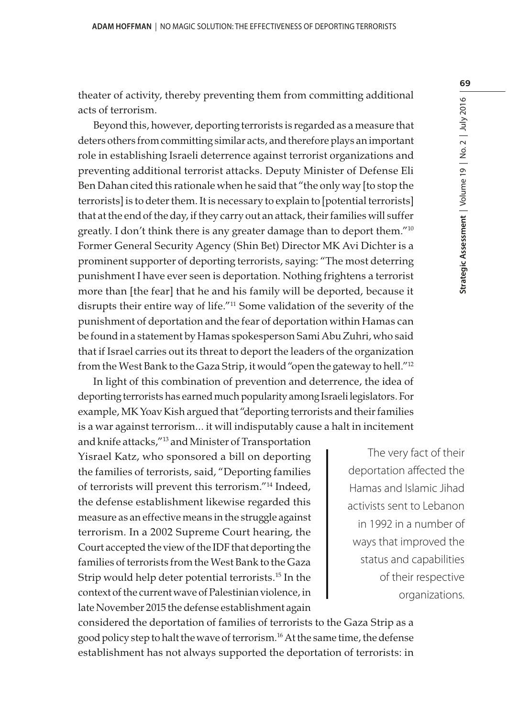theater of activity, thereby preventing them from committing additional acts of terrorism.

Beyond this, however, deporting terrorists is regarded as a measure that deters others from committing similar acts, and therefore plays an important role in establishing Israeli deterrence against terrorist organizations and preventing additional terrorist attacks. Deputy Minister of Defense Eli Ben Dahan cited this rationale when he said that "the only way [to stop the terrorists] is to deter them. It is necessary to explain to [potential terrorists] that at the end of the day, if they carry out an attack, their families will suffer greatly. I don't think there is any greater damage than to deport them."10 Former General Security Agency (Shin Bet) Director MK Avi Dichter is a prominent supporter of deporting terrorists, saying: "The most deterring punishment I have ever seen is deportation. Nothing frightens a terrorist more than [the fear] that he and his family will be deported, because it disrupts their entire way of life."11 Some validation of the severity of the punishment of deportation and the fear of deportation within Hamas can be found in a statement by Hamas spokesperson Sami Abu Zuhri, who said that if Israel carries out its threat to deport the leaders of the organization from the West Bank to the Gaza Strip, it would "open the gateway to hell."12

In light of this combination of prevention and deterrence, the idea of deporting terrorists has earned much popularity among Israeli legislators. For example, MK Yoav Kish argued that "deporting terrorists and their families is a war against terrorism… it will indisputably cause a halt in incitement

and knife attacks,"13 and Minister of Transportation Yisrael Katz, who sponsored a bill on deporting the families of terrorists, said, "Deporting families of terrorists will prevent this terrorism."14 Indeed, the defense establishment likewise regarded this measure as an effective means in the struggle against terrorism. In a 2002 Supreme Court hearing, the Court accepted the view of the IDF that deporting the families of terrorists from the West Bank to the Gaza Strip would help deter potential terrorists.15 In the context of the current wave of Palestinian violence, in late November 2015 the defense establishment again

The very fact of their deportation affected the Hamas and Islamic Jihad activists sent to Lebanon in 1992 in a number of ways that improved the status and capabilities of their respective organizations.

considered the deportation of families of terrorists to the Gaza Strip as a good policy step to halt the wave of terrorism.16 At the same time, the defense establishment has not always supported the deportation of terrorists: in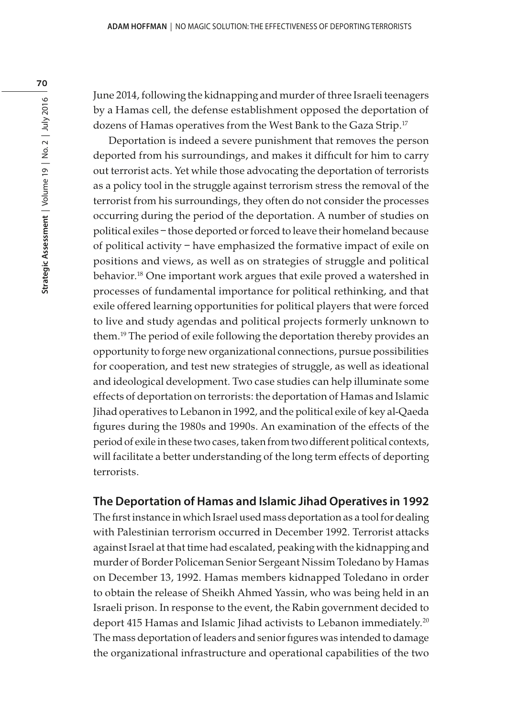June 2014, following the kidnapping and murder of three Israeli teenagers by a Hamas cell, the defense establishment opposed the deportation of dozens of Hamas operatives from the West Bank to the Gaza Strip.<sup>17</sup>

Deportation is indeed a severe punishment that removes the person deported from his surroundings, and makes it difficult for him to carry out terrorist acts. Yet while those advocating the deportation of terrorists as a policy tool in the struggle against terrorism stress the removal of the terrorist from his surroundings, they often do not consider the processes occurring during the period of the deportation. A number of studies on political exiles – those deported or forced to leave their homeland because of political activity – have emphasized the formative impact of exile on positions and views, as well as on strategies of struggle and political behavior.18 One important work argues that exile proved a watershed in processes of fundamental importance for political rethinking, and that exile offered learning opportunities for political players that were forced to live and study agendas and political projects formerly unknown to them.19 The period of exile following the deportation thereby provides an opportunity to forge new organizational connections, pursue possibilities for cooperation, and test new strategies of struggle, as well as ideational and ideological development. Two case studies can help illuminate some effects of deportation on terrorists: the deportation of Hamas and Islamic Jihad operatives to Lebanon in 1992, and the political exile of key al-Qaeda figures during the 1980s and 1990s. An examination of the effects of the period of exile in these two cases, taken from two different political contexts, will facilitate a better understanding of the long term effects of deporting terrorists.

### **The Deportation of Hamas and Islamic Jihad Operatives in 1992**

The first instance in which Israel used mass deportation as a tool for dealing with Palestinian terrorism occurred in December 1992. Terrorist attacks against Israel at that time had escalated, peaking with the kidnapping and murder of Border Policeman Senior Sergeant Nissim Toledano by Hamas on December 13, 1992. Hamas members kidnapped Toledano in order to obtain the release of Sheikh Ahmed Yassin, who was being held in an Israeli prison. In response to the event, the Rabin government decided to deport 415 Hamas and Islamic Jihad activists to Lebanon immediately.<sup>20</sup> The mass deportation of leaders and senior figures was intended to damage the organizational infrastructure and operational capabilities of the two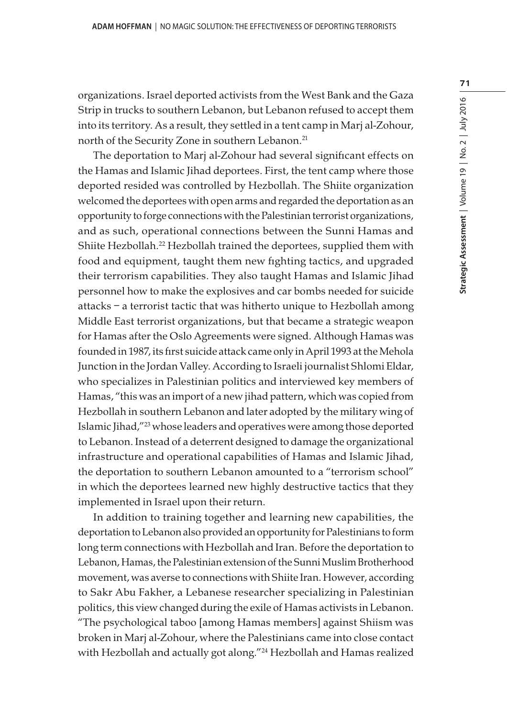organizations. Israel deported activists from the West Bank and the Gaza Strip in trucks to southern Lebanon, but Lebanon refused to accept them into its territory. As a result, they settled in a tent camp in Marj al-Zohour, north of the Security Zone in southern Lebanon.<sup>21</sup>

The deportation to Marj al-Zohour had several significant effects on the Hamas and Islamic Jihad deportees. First, the tent camp where those deported resided was controlled by Hezbollah. The Shiite organization welcomed the deportees with open arms and regarded the deportation as an opportunity to forge connections with the Palestinian terrorist organizations, and as such, operational connections between the Sunni Hamas and Shiite Hezbollah.<sup>22</sup> Hezbollah trained the deportees, supplied them with food and equipment, taught them new fighting tactics, and upgraded their terrorism capabilities. They also taught Hamas and Islamic Jihad personnel how to make the explosives and car bombs needed for suicide attacks – a terrorist tactic that was hitherto unique to Hezbollah among Middle East terrorist organizations, but that became a strategic weapon for Hamas after the Oslo Agreements were signed. Although Hamas was founded in 1987, its first suicide attack came only in April 1993 at the Mehola Junction in the Jordan Valley. According to Israeli journalist Shlomi Eldar, who specializes in Palestinian politics and interviewed key members of Hamas, "this was an import of a new jihad pattern, which was copied from Hezbollah in southern Lebanon and later adopted by the military wing of Islamic Jihad,"23 whose leaders and operatives were among those deported to Lebanon. Instead of a deterrent designed to damage the organizational infrastructure and operational capabilities of Hamas and Islamic Jihad, the deportation to southern Lebanon amounted to a "terrorism school" in which the deportees learned new highly destructive tactics that they implemented in Israel upon their return.

In addition to training together and learning new capabilities, the deportation to Lebanon also provided an opportunity for Palestinians to form long term connections with Hezbollah and Iran. Before the deportation to Lebanon, Hamas, the Palestinian extension of the Sunni Muslim Brotherhood movement, was averse to connections with Shiite Iran. However, according to Sakr Abu Fakher, a Lebanese researcher specializing in Palestinian politics, this view changed during the exile of Hamas activists in Lebanon. "The psychological taboo [among Hamas members] against Shiism was broken in Marj al-Zohour, where the Palestinians came into close contact with Hezbollah and actually got along."24 Hezbollah and Hamas realized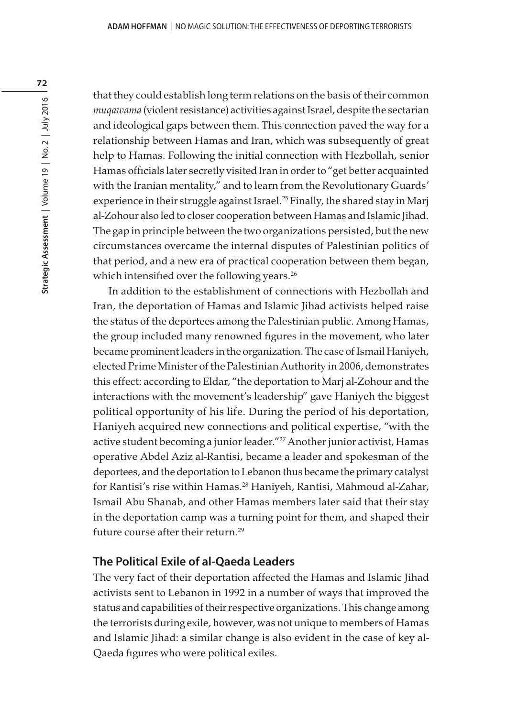that they could establish long term relations on the basis of their common muqawama (violent resistance) activities against Israel, despite the sectarian and ideological gaps between them. This connection paved the way for a relationship between Hamas and Iran, which was subsequently of great help to Hamas. Following the initial connection with Hezbollah, senior Hamas officials later secretly visited Iran in order to "get better acquainted with the Iranian mentality," and to learn from the Revolutionary Guards' experience in their struggle against Israel.<sup>25</sup> Finally, the shared stay in Marj al-Zohour also led to closer cooperation between Hamas and Islamic Jihad. The gap in principle between the two organizations persisted, but the new circumstances overcame the internal disputes of Palestinian politics of that period, and a new era of practical cooperation between them began, which intensified over the following years.<sup>26</sup>

In addition to the establishment of connections with Hezbollah and Iran, the deportation of Hamas and Islamic Jihad activists helped raise the status of the deportees among the Palestinian public. Among Hamas, the group included many renowned figures in the movement, who later became prominent leaders in the organization. The case of Ismail Haniyeh, elected Prime Minister of the Palestinian Authority in 2006, demonstrates this effect: according to Eldar, "the deportation to Marj al-Zohour and the interactions with the movement's leadership" gave Haniyeh the biggest political opportunity of his life. During the period of his deportation, Haniyeh acquired new connections and political expertise, "with the active student becoming a junior leader."<sup>27</sup> Another junior activist, Hamas operative Abdel Aziz al-Rantisi, became a leader and spokesman of the deportees, and the deportation to Lebanon thus became the primary catalyst for Rantisi's rise within Hamas.28 Haniyeh, Rantisi, Mahmoud al-Zahar, Ismail Abu Shanab, and other Hamas members later said that their stay in the deportation camp was a turning point for them, and shaped their future course after their return.<sup>29</sup>

#### **The Political Exile of al-Qaeda Leaders**

The very fact of their deportation affected the Hamas and Islamic Jihad activists sent to Lebanon in 1992 in a number of ways that improved the status and capabilities of their respective organizations. This change among the terrorists during exile, however, was not unique to members of Hamas and Islamic Jihad: a similar change is also evident in the case of key al-Qaeda figures who were political exiles.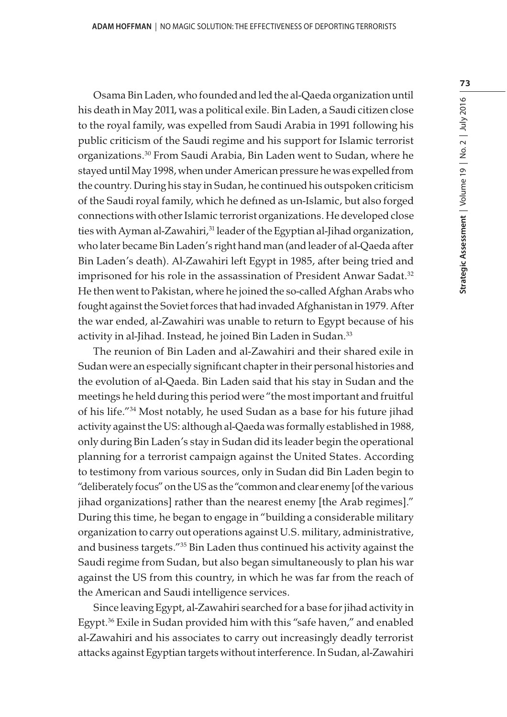Osama Bin Laden, who founded and led the al-Qaeda organization until his death in May 2011, was a political exile. Bin Laden, a Saudi citizen close to the royal family, was expelled from Saudi Arabia in 1991 following his public criticism of the Saudi regime and his support for Islamic terrorist organizations.30 From Saudi Arabia, Bin Laden went to Sudan, where he stayed until May 1998, when under American pressure he was expelled from the country. During his stay in Sudan, he continued his outspoken criticism of the Saudi royal family, which he defined as un-Islamic, but also forged connections with other Islamic terrorist organizations. He developed close ties with Ayman al-Zawahiri,<sup>31</sup> leader of the Egyptian al-Jihad organization, who later became Bin Laden's right hand man (and leader of al-Qaeda after Bin Laden's death). Al-Zawahiri left Egypt in 1985, after being tried and imprisoned for his role in the assassination of President Anwar Sadat.<sup>32</sup> He then went to Pakistan, where he joined the so-called Afghan Arabs who fought against the Soviet forces that had invaded Afghanistan in 1979. After the war ended, al-Zawahiri was unable to return to Egypt because of his activity in al-Jihad. Instead, he joined Bin Laden in Sudan.<sup>33</sup>

The reunion of Bin Laden and al-Zawahiri and their shared exile in Sudan were an especially significant chapter in their personal histories and the evolution of al-Qaeda. Bin Laden said that his stay in Sudan and the meetings he held during this period were "the most important and fruitful of his life."34 Most notably, he used Sudan as a base for his future jihad activity against the US: although al-Qaeda was formally established in 1988, only during Bin Laden's stay in Sudan did its leader begin the operational planning for a terrorist campaign against the United States. According to testimony from various sources, only in Sudan did Bin Laden begin to "deliberately focus" on the US as the "common and clear enemy [of the various jihad organizations] rather than the nearest enemy [the Arab regimes]." During this time, he began to engage in "building a considerable military organization to carry out operations against U.S. military, administrative, and business targets."35 Bin Laden thus continued his activity against the Saudi regime from Sudan, but also began simultaneously to plan his war against the US from this country, in which he was far from the reach of the American and Saudi intelligence services.

Since leaving Egypt, al-Zawahiri searched for a base for jihad activity in Egypt.36 Exile in Sudan provided him with this "safe haven," and enabled al-Zawahiri and his associates to carry out increasingly deadly terrorist attacks against Egyptian targets without interference. In Sudan, al-Zawahiri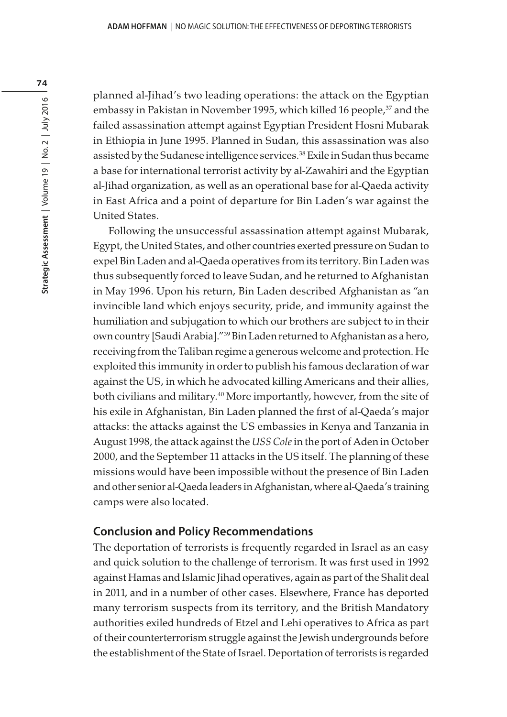planned al-Jihad's two leading operations: the attack on the Egyptian embassy in Pakistan in November 1995, which killed 16 people,<sup>37</sup> and the failed assassination attempt against Egyptian President Hosni Mubarak in Ethiopia in June 1995. Planned in Sudan, this assassination was also assisted by the Sudanese intelligence services.<sup>38</sup> Exile in Sudan thus became a base for international terrorist activity by al-Zawahiri and the Egyptian al-Jihad organization, as well as an operational base for al-Qaeda activity in East Africa and a point of departure for Bin Laden's war against the United States.

Following the unsuccessful assassination attempt against Mubarak, Egypt, the United States, and other countries exerted pressure on Sudan to expel Bin Laden and al-Qaeda operatives from its territory. Bin Laden was thus subsequently forced to leave Sudan, and he returned to Afghanistan in May 1996. Upon his return, Bin Laden described Afghanistan as "an invincible land which enjoys security, pride, and immunity against the humiliation and subjugation to which our brothers are subject to in their own country [Saudi Arabia]."39 Bin Laden returned to Afghanistan as a hero, receiving from the Taliban regime a generous welcome and protection. He exploited this immunity in order to publish his famous declaration of war against the US, in which he advocated killing Americans and their allies, both civilians and military.<sup>40</sup> More importantly, however, from the site of his exile in Afghanistan, Bin Laden planned the first of al-Qaeda's major attacks: the attacks against the US embassies in Kenya and Tanzania in August 1998, the attack against the USS Cole in the port of Aden in October 2000, and the September 11 attacks in the US itself. The planning of these missions would have been impossible without the presence of Bin Laden and other senior al-Qaeda leaders in Afghanistan, where al-Qaeda's training camps were also located.

#### **Conclusion and Policy Recommendations**

The deportation of terrorists is frequently regarded in Israel as an easy and quick solution to the challenge of terrorism. It was first used in 1992 against Hamas and Islamic Jihad operatives, again as part of the Shalit deal in 2011, and in a number of other cases. Elsewhere, France has deported many terrorism suspects from its territory, and the British Mandatory authorities exiled hundreds of Etzel and Lehi operatives to Africa as part of their counterterrorism struggle against the Jewish undergrounds before the establishment of the State of Israel. Deportation of terrorists is regarded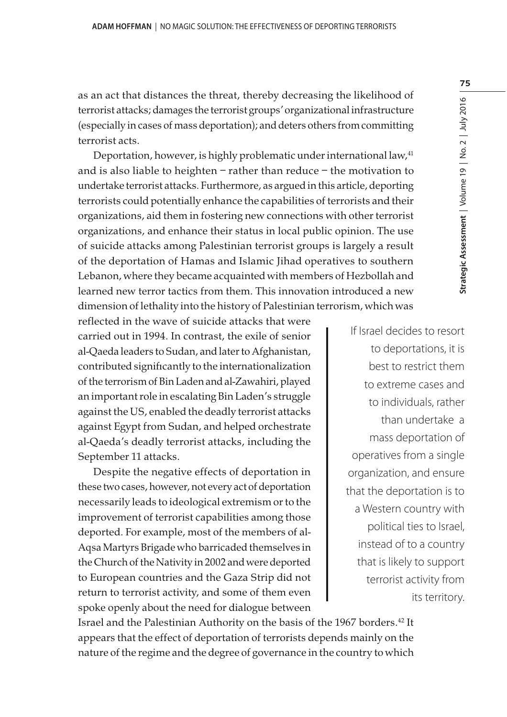as an act that distances the threat, thereby decreasing the likelihood of terrorist attacks; damages the terrorist groups' organizational infrastructure (especially in cases of mass deportation); and deters others from committing terrorist acts.

Deportation, however, is highly problematic under international law,<sup>41</sup> and is also liable to heighten – rather than reduce – the motivation to undertake terrorist attacks. Furthermore, as argued in this article, deporting terrorists could potentially enhance the capabilities of terrorists and their organizations, aid them in fostering new connections with other terrorist organizations, and enhance their status in local public opinion. The use of suicide attacks among Palestinian terrorist groups is largely a result of the deportation of Hamas and Islamic Jihad operatives to southern Lebanon, where they became acquainted with members of Hezbollah and learned new terror tactics from them. This innovation introduced a new dimension of lethality into the history of Palestinian terrorism, which was

reflected in the wave of suicide attacks that were carried out in 1994. In contrast, the exile of senior al-Qaeda leaders to Sudan, and later to Afghanistan, contributed significantly to the internationalization of the terrorism of Bin Laden and al-Zawahiri, played an important role in escalating Bin Laden's struggle against the US, enabled the deadly terrorist attacks against Egypt from Sudan, and helped orchestrate al-Qaeda's deadly terrorist attacks, including the September 11 attacks.

Despite the negative effects of deportation in these two cases, however, not every act of deportation necessarily leads to ideological extremism or to the improvement of terrorist capabilities among those deported. For example, most of the members of al-Aqsa Martyrs Brigade who barricaded themselves in the Church of the Nativity in 2002 and were deported to European countries and the Gaza Strip did not return to terrorist activity, and some of them even spoke openly about the need for dialogue between

If Israel decides to resort to deportations, it is best to restrict them to extreme cases and to individuals, rather than undertake a mass deportation of operatives from a single organization, and ensure that the deportation is to a Western country with political ties to Israel, instead of to a country that is likely to support terrorist activity from its territory.

Israel and the Palestinian Authority on the basis of the 1967 borders.<sup>42</sup> It appears that the effect of deportation of terrorists depends mainly on the nature of the regime and the degree of governance in the country to which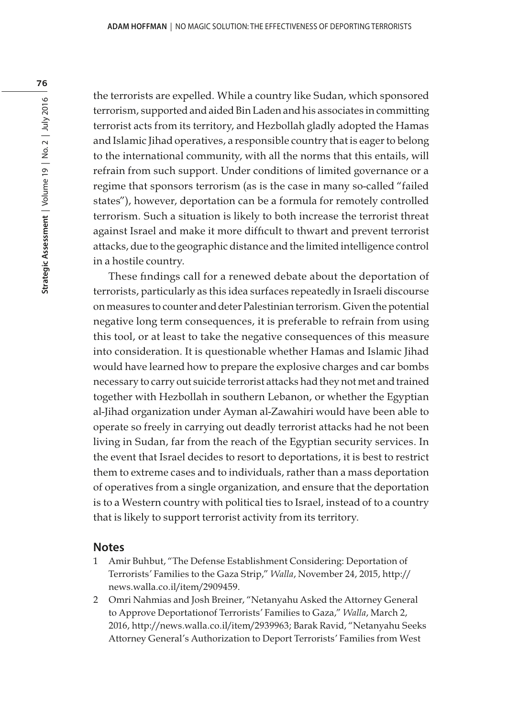the terrorists are expelled. While a country like Sudan, which sponsored terrorism, supported and aided Bin Laden and his associates in committing terrorist acts from its territory, and Hezbollah gladly adopted the Hamas and Islamic Jihad operatives, a responsible country that is eager to belong to the international community, with all the norms that this entails, will refrain from such support. Under conditions of limited governance or a regime that sponsors terrorism (as is the case in many so-called "failed states"), however, deportation can be a formula for remotely controlled terrorism. Such a situation is likely to both increase the terrorist threat against Israel and make it more difficult to thwart and prevent terrorist attacks, due to the geographic distance and the limited intelligence control in a hostile country.

These findings call for a renewed debate about the deportation of terrorists, particularly as this idea surfaces repeatedly in Israeli discourse on measures to counter and deter Palestinian terrorism. Given the potential negative long term consequences, it is preferable to refrain from using this tool, or at least to take the negative consequences of this measure into consideration. It is questionable whether Hamas and Islamic Jihad would have learned how to prepare the explosive charges and car bombs necessary to carry out suicide terrorist attacks had they not met and trained together with Hezbollah in southern Lebanon, or whether the Egyptian al-Jihad organization under Ayman al-Zawahiri would have been able to operate so freely in carrying out deadly terrorist attacks had he not been living in Sudan, far from the reach of the Egyptian security services. In the event that Israel decides to resort to deportations, it is best to restrict them to extreme cases and to individuals, rather than a mass deportation of operatives from a single organization, and ensure that the deportation is to a Western country with political ties to Israel, instead of to a country that is likely to support terrorist activity from its territory.

#### **Notes**

- 1 Amir Buhbut, "The Defense Establishment Considering: Deportation of Terrorists' Families to the Gaza Strip," Walla, November 24, 2015, http:// news.walla.co.il/item/2909459.
- 2 Omri Nahmias and Josh Breiner, "Netanyahu Asked the Attorney General to Approve Deportationof Terrorists' Families to Gaza," Walla, March 2, 2016, http://news.walla.co.il/item/2939963; Barak Ravid, "Netanyahu Seeks Attorney General's Authorization to Deport Terrorists' Families from West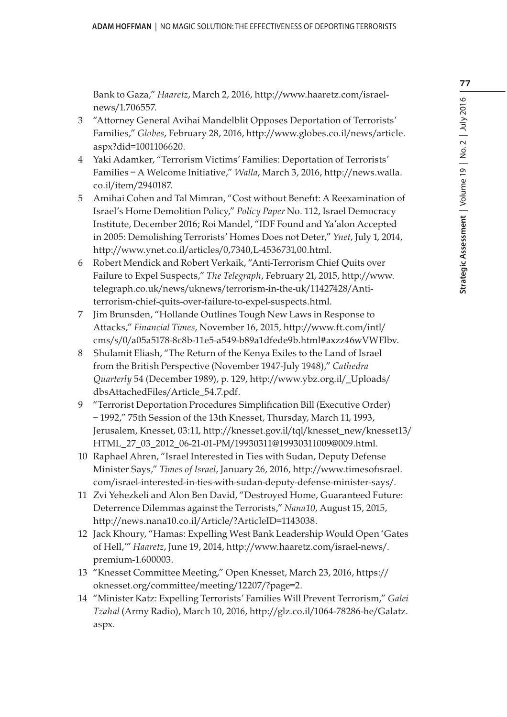Bank to Gaza," Haaretz, March 2, 2016, http://www.haaretz.com/israelnews/1.706557.

- 3 "Attorney General Avihai Mandelblit Opposes Deportation of Terrorists' Families," Globes, February 28, 2016, http://www.globes.co.il/news/article. aspx?did=1001106620.
- 4 Yaki Adamker, "Terrorism Victims' Families: Deportation of Terrorists' Families – A Welcome Initiative," Walla, March 3, 2016, http://news.walla. co.il/item/2940187.
- 5 Amihai Cohen and Tal Mimran, "Cost without Benefit: A Reexamination of Israel's Home Demolition Policy," Policy Paper No. 112, Israel Democracy Institute, December 2016; Roi Mandel, "IDF Found and Ya'alon Accepted in 2005: Demolishing Terrorists' Homes Does not Deter," Ynet, July 1, 2014, http://www.ynet.co.il/articles/0,7340,L-4536731,00.html.
- 6 Robert Mendick and Robert Verkaik, "Anti-Terrorism Chief Quits over Failure to Expel Suspects," The Telegraph, February 21, 2015, http://www. telegraph.co.uk/news/uknews/terrorism-in-the-uk/11427428/Antiterrorism-chief-quits-over-failure-to-expel-suspects.html.
- 7 Jim Brunsden, "Hollande Outlines Tough New Laws in Response to Attacks," Financial Times, November 16, 2015, http://www.ft.com/intl/ cms/s/0/a05a5178-8c8b-11e5-a549-b89a1dfede9b.html#axzz46wVWFlbv.
- 8 Shulamit Eliash, "The Return of the Kenya Exiles to the Land of Israel from the British Perspective (November 1947-July 1948)," Cathedra Quarterly 54 (December 1989), p. 129, http://www.ybz.org.il/\_Uploads/ dbsAttachedFiles/Article\_54.7.pdf.
- 9 "Terrorist Deportation Procedures Simplification Bill (Executive Order) – 1992," 75th Session of the 13th Knesset, Thursday, March 11, 1993, Jerusalem, Knesset, 03:11, http://knesset.gov.il/tql/knesset\_new/knesset13/ HTML\_27\_03\_2012\_06-21-01-PM/19930311@19930311009@009.html.
- 10 Raphael Ahren, "Israel Interested in Ties with Sudan, Deputy Defense Minister Says," Times of Israel, January 26, 2016, http://www.timesofisrael. com/israel-interested-in-ties-with-sudan-deputy-defense-minister-says/.
- 11 Zvi Yehezkeli and Alon Ben David, "Destroyed Home, Guaranteed Future: Deterrence Dilemmas against the Terrorists," Nana10, August 15, 2015, http://news.nana10.co.il/Article/?ArticleID=1143038.
- 12 Jack Khoury, "Hamas: Expelling West Bank Leadership Would Open 'Gates of Hell,'" Haaretz, June 19, 2014, http://www.haaretz.com/israel-news/. premium-1.600003.
- 13 "Knesset Committee Meeting," Open Knesset, March 23, 2016, https:// oknesset.org/committee/meeting/12207/?page=2.
- 14 "Minister Katz: Expelling Terrorists' Families Will Prevent Terrorism," Galei Tzahal (Army Radio), March 10, 2016, http://glz.co.il/1064-78286-he/Galatz. aspx.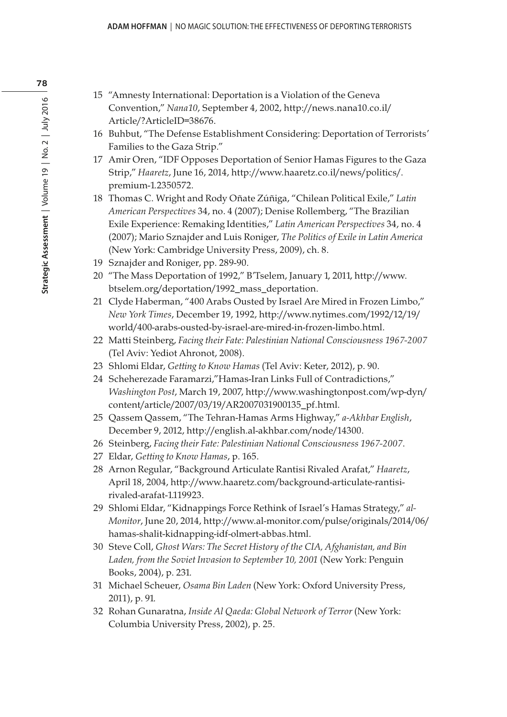- 15 "Amnesty International: Deportation is a Violation of the Geneva Convention," Nana10, September 4, 2002, http://news.nana10.co.il/ Article/?ArticleID=38676.
- 16 Buhbut, "The Defense Establishment Considering: Deportation of Terrorists' Families to the Gaza Strip."
- 17 Amir Oren, "IDF Opposes Deportation of Senior Hamas Figures to the Gaza Strip," Haaretz, June 16, 2014, http://www.haaretz.co.il/news/politics/. premium-1.2350572.
- 18 Thomas C. Wright and Rody Oñate Zúñiga, "Chilean Political Exile," Latin American Perspectives 34, no. 4 (2007); Denise Rollemberg, "The Brazilian Exile Experience: Remaking Identities," Latin American Perspectives 34, no. 4 (2007); Mario Sznajder and Luis Roniger, The Politics of Exile in Latin America (New York: Cambridge University Press, 2009), ch. 8.
- 19 Sznajder and Roniger, pp. 289-90.
- 20 "The Mass Deportation of 1992," B'Tselem, January 1, 2011, http://www. btselem.org/deportation/1992\_mass\_deportation.
- 21 Clyde Haberman, "400 Arabs Ousted by Israel Are Mired in Frozen Limbo," New York Times, December 19, 1992, http://www.nytimes.com/1992/12/19/ world/400-arabs-ousted-by-israel-are-mired-in-frozen-limbo.html.
- 22 Matti Steinberg, Facing their Fate: Palestinian National Consciousness 1967-2007 (Tel Aviv: Yediot Ahronot, 2008).
- 23 Shlomi Eldar, Getting to Know Hamas (Tel Aviv: Keter, 2012), p. 90.
- 24 Scheherezade Faramarzi,"Hamas-Iran Links Full of Contradictions," Washington Post, March 19, 2007, http://www.washingtonpost.com/wp-dyn/ content/article/2007/03/19/AR2007031900135\_pf.html.
- 25 Qassem Qassem, "The Tehran-Hamas Arms Highway," a-Akhbar English, December 9, 2012, http://english.al-akhbar.com/node/14300.
- 26 Steinberg, Facing their Fate: Palestinian National Consciousness 1967-2007.
- 27 Eldar, Getting to Know Hamas, p. 165.
- 28 Arnon Regular, "Background Articulate Rantisi Rivaled Arafat," Haaretz, April 18, 2004, http://www.haaretz.com/background-articulate-rantisirivaled-arafat-1.119923.
- 29 Shlomi Eldar, "Kidnappings Force Rethink of Israel's Hamas Strategy," al-Monitor, June 20, 2014, http://www.al-monitor.com/pulse/originals/2014/06/ hamas-shalit-kidnapping-idf-olmert-abbas.html.
- 30 Steve Coll, Ghost Wars: The Secret History of the CIA, Afghanistan, and Bin Laden, from the Soviet Invasion to September 10, 2001 (New York: Penguin Books, 2004), p. 231.
- 31 Michael Scheuer, Osama Bin Laden (New York: Oxford University Press, 2011), p. 91.
- 32 Rohan Gunaratna, Inside Al Qaeda: Global Network of Terror (New York: Columbia University Press, 2002), p. 25.